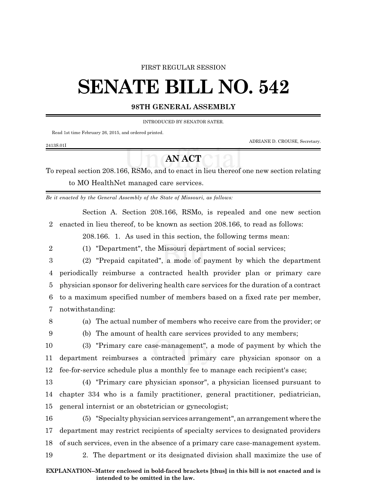### FIRST REGULAR SESSION

# **SENATE BILL NO. 542**

## **98TH GENERAL ASSEMBLY**

#### INTRODUCED BY SENATOR SATER.

Read 1st time February 26, 2015, and ordered printed.

ADRIANE D. CROUSE, Secretary.

To repeal section 208.166, RSMo, and to enact in lieu thereof one new section relating to MO HealthNet managed care services.

**AN ACT**

*Be it enacted by the General Assembly of the State of Missouri, as follows:*

Section A. Section 208.166, RSMo, is repealed and one new section 2 enacted in lieu thereof, to be known as section 208.166, to read as follows:

208.166. 1. As used in this section, the following terms mean:

- 
- 

2413S.01I

- 2 (1) "Department", the Missouri department of social services;
- 3 (2) "Prepaid capitated", a mode of payment by which the department 4 periodically reimburse a contracted health provider plan or primary care 5 physician sponsor for delivering health care services for the duration of a contract 6 to a maximum specified number of members based on a fixed rate per member, 7 notwithstanding:
- 

8 (a) The actual number of members who receive care from the provider; or

9 (b) The amount of health care services provided to any members;

10 (3) "Primary care case-management", a mode of payment by which the 11 department reimburses a contracted primary care physician sponsor on a 12 fee-for-service schedule plus a monthly fee to manage each recipient's case;

13 (4) "Primary care physician sponsor", a physician licensed pursuant to 14 chapter 334 who is a family practitioner, general practitioner, pediatrician, 15 general internist or an obstetrician or gynecologist;

 (5) "Specialty physician services arrangement", an arrangement where the department may restrict recipients of specialty services to designated providers of such services, even in the absence of a primary care case-management system. 2. The department or its designated division shall maximize the use of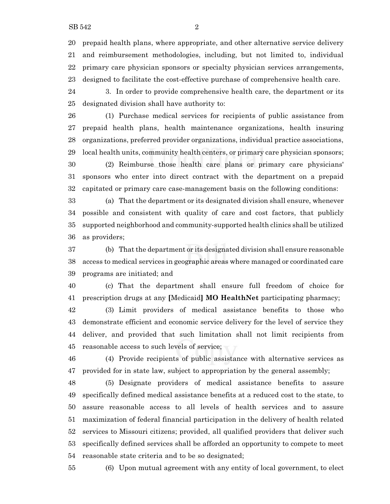prepaid health plans, where appropriate, and other alternative service delivery and reimbursement methodologies, including, but not limited to, individual primary care physician sponsors or specialty physician services arrangements, designed to facilitate the cost-effective purchase of comprehensive health care.

 3. In order to provide comprehensive health care, the department or its designated division shall have authority to:

 (1) Purchase medical services for recipients of public assistance from prepaid health plans, health maintenance organizations, health insuring organizations, preferred provider organizations, individual practice associations, local health units, community health centers, or primary care physician sponsors;

 (2) Reimburse those health care plans or primary care physicians' sponsors who enter into direct contract with the department on a prepaid capitated or primary care case-management basis on the following conditions:

 (a) That the department or its designated division shall ensure, whenever possible and consistent with quality of care and cost factors, that publicly supported neighborhood and community-supported health clinics shall be utilized as providers;

 (b) That the department or its designated division shall ensure reasonable access to medical services in geographic areas where managed or coordinated care programs are initiated; and

 (c) That the department shall ensure full freedom of choice for prescription drugs at any **[**Medicaid**] MO HealthNet** participating pharmacy;

 (3) Limit providers of medical assistance benefits to those who demonstrate efficient and economic service delivery for the level of service they deliver, and provided that such limitation shall not limit recipients from reasonable access to such levels of service;

 (4) Provide recipients of public assistance with alternative services as provided for in state law, subject to appropriation by the general assembly;

 (5) Designate providers of medical assistance benefits to assure specifically defined medical assistance benefits at a reduced cost to the state, to assure reasonable access to all levels of health services and to assure maximization of federal financial participation in the delivery of health related services to Missouri citizens; provided, all qualified providers that deliver such specifically defined services shall be afforded an opportunity to compete to meet reasonable state criteria and to be so designated;

(6) Upon mutual agreement with any entity of local government, to elect